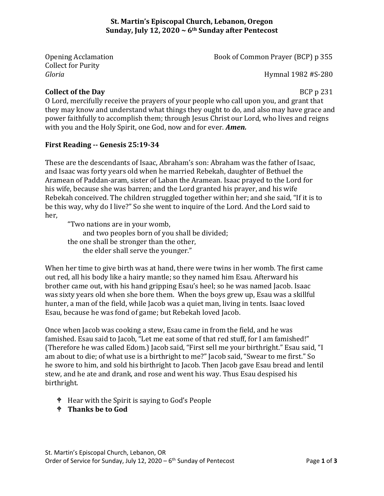### **St. Martin's Episcopal Church, Lebanon, Oregon Sunday, July 12, 2020 ~ 6th Sunday after Pentecost**

Collect for Purity

Opening Acclamation Book of Common Prayer (BCP) p 355

*Gloria* Hymnal 1982 #S-280

# **Collect of the Day** BCP p 231

O Lord, mercifully receive the prayers of your people who call upon you, and grant that they may know and understand what things they ought to do, and also may have grace and power faithfully to accomplish them; through Jesus Christ our Lord, who lives and reigns with you and the Holy Spirit, one God, now and for ever. *Amen.*

## **First Reading -- Genesis 25:19-34**

These are the descendants of Isaac, Abraham's son: Abraham was the father of Isaac, and Isaac was forty years old when he married Rebekah, daughter of Bethuel the Aramean of Paddan-aram, sister of Laban the Aramean. Isaac prayed to the Lord for his wife, because she was barren; and the Lord granted his prayer, and his wife Rebekah conceived. The children struggled together within her; and she said, "If it is to be this way, why do I live?" So she went to inquire of the Lord. And the Lord said to her,

"Two nations are in your womb, and two peoples born of you shall be divided; the one shall be stronger than the other, the elder shall serve the younger."

When her time to give birth was at hand, there were twins in her womb. The first came out red, all his body like a hairy mantle; so they named him Esau. Afterward his brother came out, with his hand gripping Esau's heel; so he was named Jacob. Isaac was sixty years old when she bore them. When the boys grew up, Esau was a skillful hunter, a man of the field, while Jacob was a quiet man, living in tents. Isaac loved Esau, because he was fond of game; but Rebekah loved Jacob.

Once when Jacob was cooking a stew, Esau came in from the field, and he was famished. Esau said to Jacob, "Let me eat some of that red stuff, for I am famished!" (Therefore he was called Edom.) Jacob said, "First sell me your birthright." Esau said, "I am about to die; of what use is a birthright to me?" Jacob said, "Swear to me first." So he swore to him, and sold his birthright to Jacob. Then Jacob gave Esau bread and lentil stew, and he ate and drank, and rose and went his way. Thus Esau despised his birthright.

- Hear with the Spirit is saying to God's People
- **Thanks be to God**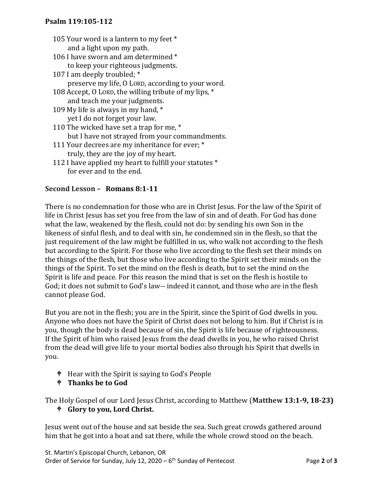#### **Psalm 119:105-112**

- 105 Your word is a lantern to my feet \* and a light upon my path.
- 106 I have sworn and am determined \* to keep your righteous judgments.
- 107 I am deeply troubled; \* preserve my life, O LORD, according to your word.
- 108 Accept, O LORD, the willing tribute of my lips, \* and teach me your judgments.
- 109 My life is always in my hand, \* yet I do not forget your law.
- 110 The wicked have set a trap for me, \* but I have not strayed from your commandments.
- 111 Your decrees are my inheritance for ever; \* truly, they are the joy of my heart.
- 112 I have applied my heart to fulfill your statutes \* for ever and to the end.

## **Second Lesson – Romans 8:1-11**

There is no condemnation for those who are in Christ Jesus. For the law of the Spirit of life in Christ Jesus has set you free from the law of sin and of death. For God has done what the law, weakened by the flesh, could not do: by sending his own Son in the likeness of sinful flesh, and to deal with sin, he condemned sin in the flesh, so that the just requirement of the law might be fulfilled in us, who walk not according to the flesh but according to the Spirit. For those who live according to the flesh set their minds on the things of the flesh, but those who live according to the Spirit set their minds on the things of the Spirit. To set the mind on the flesh is death, but to set the mind on the Spirit is life and peace. For this reason the mind that is set on the flesh is hostile to God; it does not submit to God's law-- indeed it cannot, and those who are in the flesh cannot please God.

But you are not in the flesh; you are in the Spirit, since the Spirit of God dwells in you. Anyone who does not have the Spirit of Christ does not belong to him. But if Christ is in you, though the body is dead because of sin, the Spirit is life because of righteousness. If the Spirit of him who raised Jesus from the dead dwells in you, he who raised Christ from the dead will give life to your mortal bodies also through his Spirit that dwells in you.

- Hear with the Spirit is saying to God's People
- **Thanks be to God**

The Holy Gospel of our Lord Jesus Christ, according to Matthew (**Matthew 13:1-9, 18-23)**

**Glory to you, Lord Christ.**

Jesus went out of the house and sat beside the sea. Such great crowds gathered around him that he got into a boat and sat there, while the whole crowd stood on the beach.